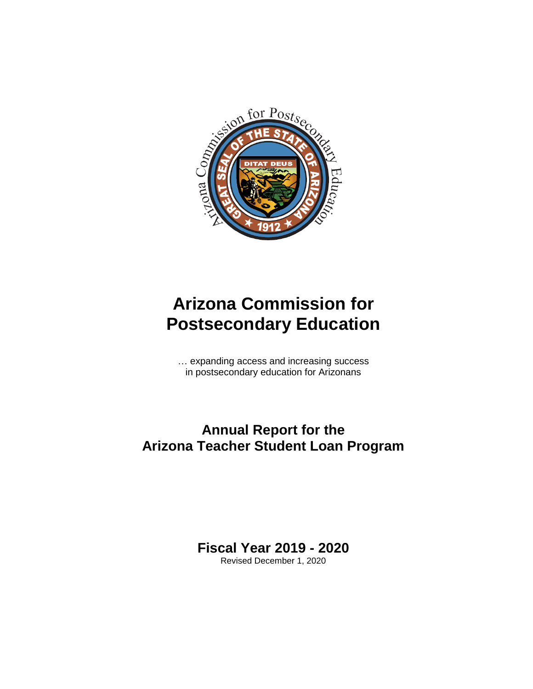

# **Arizona Commission for Postsecondary Education**

… expanding access and increasing success in postsecondary education for Arizonans

# **Annual Report for the Arizona Teacher Student Loan Program**

**Fiscal Year 2019 - 2020**

Revised December 1, 2020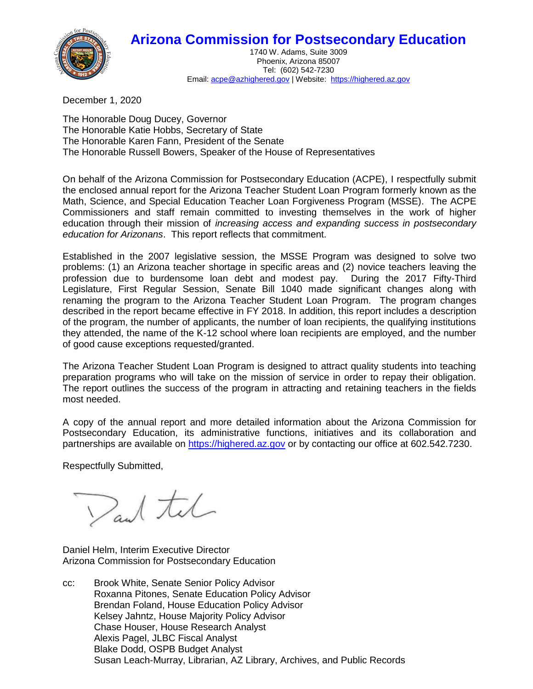## **Arizona Commission for Postsecondary Education**



1740 W. Adams, Suite 3009 Phoenix, Arizona 85007 Tel: (602) 542-7230 Email[: acpe@azhighered.gov](mailto:acpe@azhighered.gov) | Website: [https://highered.az.gov](https://highered.az.gov/)

December 1, 2020

The Honorable Doug Ducey, Governor The Honorable Katie Hobbs, Secretary of State The Honorable Karen Fann, President of the Senate The Honorable Russell Bowers, Speaker of the House of Representatives

On behalf of the Arizona Commission for Postsecondary Education (ACPE), I respectfully submit the enclosed annual report for the Arizona Teacher Student Loan Program formerly known as the Math, Science, and Special Education Teacher Loan Forgiveness Program (MSSE). The ACPE Commissioners and staff remain committed to investing themselves in the work of higher education through their mission of *increasing access and expanding success in postsecondary education for Arizonans*. This report reflects that commitment.

Established in the 2007 legislative session, the MSSE Program was designed to solve two problems: (1) an Arizona teacher shortage in specific areas and (2) novice teachers leaving the profession due to burdensome loan debt and modest pay. During the 2017 Fifty-Third Legislature, First Regular Session, Senate Bill 1040 made significant changes along with renaming the program to the Arizona Teacher Student Loan Program. The program changes described in the report became effective in FY 2018. In addition, this report includes a description of the program, the number of applicants, the number of loan recipients, the qualifying institutions they attended, the name of the K-12 school where loan recipients are employed, and the number of good cause exceptions requested/granted.

The Arizona Teacher Student Loan Program is designed to attract quality students into teaching preparation programs who will take on the mission of service in order to repay their obligation. The report outlines the success of the program in attracting and retaining teachers in the fields most needed.

A copy of the annual report and more detailed information about the Arizona Commission for Postsecondary Education, its administrative functions, initiatives and its collaboration and partnerships are available on [https://highered.az.gov](https://highered.az.gov/) or by contacting our office at 602.542.7230.

Respectfully Submitted,

Dand tel

Daniel Helm, Interim Executive Director Arizona Commission for Postsecondary Education

cc: Brook White, Senate Senior Policy Advisor Roxanna Pitones, Senate Education Policy Advisor Brendan Foland, House Education Policy Advisor Kelsey Jahntz, House Majority Policy Advisor Chase Houser, House Research Analyst Alexis Pagel, JLBC Fiscal Analyst Blake Dodd, OSPB Budget Analyst Susan Leach-Murray, Librarian, AZ Library, Archives, and Public Records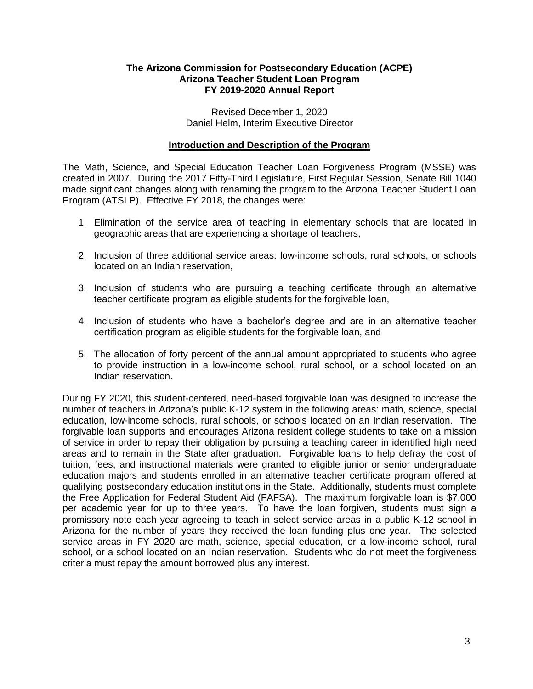#### **The Arizona Commission for Postsecondary Education (ACPE) Arizona Teacher Student Loan Program FY 2019-2020 Annual Report**

Revised December 1, 2020 Daniel Helm, Interim Executive Director

#### **Introduction and Description of the Program**

The Math, Science, and Special Education Teacher Loan Forgiveness Program (MSSE) was created in 2007. During the 2017 Fifty-Third Legislature, First Regular Session, Senate Bill 1040 made significant changes along with renaming the program to the Arizona Teacher Student Loan Program (ATSLP). Effective FY 2018, the changes were:

- 1. Elimination of the service area of teaching in elementary schools that are located in geographic areas that are experiencing a shortage of teachers,
- 2. Inclusion of three additional service areas: low-income schools, rural schools, or schools located on an Indian reservation,
- 3. Inclusion of students who are pursuing a teaching certificate through an alternative teacher certificate program as eligible students for the forgivable loan,
- 4. Inclusion of students who have a bachelor's degree and are in an alternative teacher certification program as eligible students for the forgivable loan, and
- 5. The allocation of forty percent of the annual amount appropriated to students who agree to provide instruction in a low-income school, rural school, or a school located on an Indian reservation.

During FY 2020, this student-centered, need-based forgivable loan was designed to increase the number of teachers in Arizona's public K-12 system in the following areas: math, science, special education, low-income schools, rural schools, or schools located on an Indian reservation. The forgivable loan supports and encourages Arizona resident college students to take on a mission of service in order to repay their obligation by pursuing a teaching career in identified high need areas and to remain in the State after graduation. Forgivable loans to help defray the cost of tuition, fees, and instructional materials were granted to eligible junior or senior undergraduate education majors and students enrolled in an alternative teacher certificate program offered at qualifying postsecondary education institutions in the State. Additionally, students must complete the Free Application for Federal Student Aid (FAFSA). The maximum forgivable loan is \$7,000 per academic year for up to three years. To have the loan forgiven, students must sign a promissory note each year agreeing to teach in select service areas in a public K-12 school in Arizona for the number of years they received the loan funding plus one year. The selected service areas in FY 2020 are math, science, special education, or a low-income school, rural school, or a school located on an Indian reservation. Students who do not meet the forgiveness criteria must repay the amount borrowed plus any interest.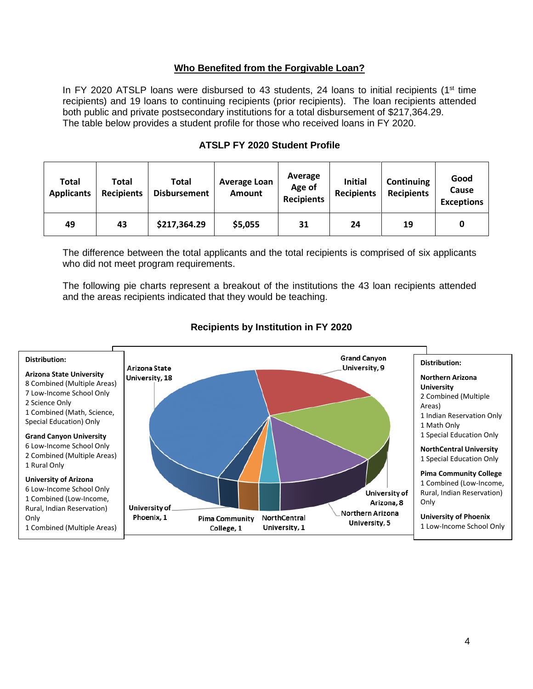#### **Who Benefited from the Forgivable Loan?**

In FY 2020 ATSLP loans were disbursed to 43 students, 24 loans to initial recipients ( $1<sup>st</sup>$  time recipients) and 19 loans to continuing recipients (prior recipients). The loan recipients attended both public and private postsecondary institutions for a total disbursement of \$217,364.29. The table below provides a student profile for those who received loans in FY 2020.

|  | <b>ATSLP FY 2020 Student Profile</b> |  |
|--|--------------------------------------|--|
|--|--------------------------------------|--|

| <b>Total</b><br><b>Applicants</b> | Total<br><b>Recipients</b> | Total<br><b>Disbursement</b> | <b>Average Loan</b><br><b>Amount</b> | Average<br>Age of<br><b>Recipients</b> | <b>Initial</b><br><b>Recipients</b> | Continuing<br><b>Recipients</b> | Good<br>Cause<br><b>Exceptions</b> |
|-----------------------------------|----------------------------|------------------------------|--------------------------------------|----------------------------------------|-------------------------------------|---------------------------------|------------------------------------|
| 49                                | 43                         | \$217,364.29                 | \$5,055                              | 31                                     | 24                                  | 19                              | 0                                  |

The difference between the total applicants and the total recipients is comprised of six applicants who did not meet program requirements.

The following pie charts represent a breakout of the institutions the 43 loan recipients attended and the areas recipients indicated that they would be teaching.



#### **Recipients by Institution in FY 2020**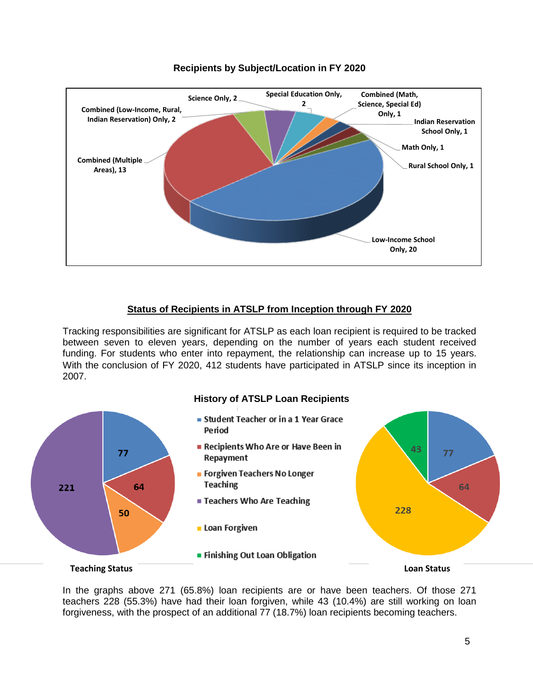

### **Recipients by Subject/Location in FY 2020**

### **Status of Recipients in ATSLP from Inception through FY 2020**

Tracking responsibilities are significant for ATSLP as each loan recipient is required to be tracked between seven to eleven years, depending on the number of years each student received funding. For students who enter into repayment, the relationship can increase up to 15 years. With the conclusion of FY 2020, 412 students have participated in ATSLP since its inception in 2007.





In the graphs above 271 (65.8%) loan recipients are or have been teachers. Of those 271 teachers 228 (55.3%) have had their loan forgiven, while 43 (10.4%) are still working on loan forgiveness, with the prospect of an additional 77 (18.7%) loan recipients becoming teachers.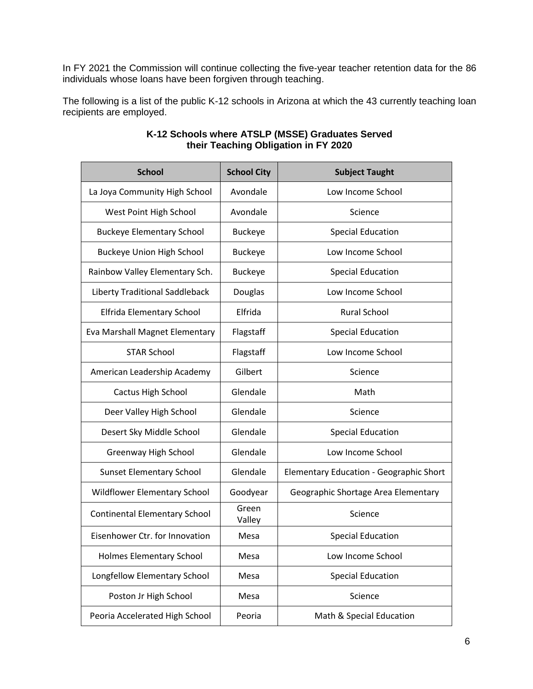In FY 2021 the Commission will continue collecting the five-year teacher retention data for the 86 individuals whose loans have been forgiven through teaching.

The following is a list of the public K-12 schools in Arizona at which the 43 currently teaching loan recipients are employed.

| <b>School</b>                        | <b>School City</b> | <b>Subject Taught</b>                          |
|--------------------------------------|--------------------|------------------------------------------------|
| La Joya Community High School        | Avondale           | Low Income School                              |
| West Point High School               | Avondale           | Science                                        |
| <b>Buckeye Elementary School</b>     | <b>Buckeye</b>     | <b>Special Education</b>                       |
| <b>Buckeye Union High School</b>     | <b>Buckeye</b>     | Low Income School                              |
| Rainbow Valley Elementary Sch.       | <b>Buckeye</b>     | <b>Special Education</b>                       |
| Liberty Traditional Saddleback       | Douglas            | Low Income School                              |
| Elfrida Elementary School            | Elfrida            | <b>Rural School</b>                            |
| Eva Marshall Magnet Elementary       | Flagstaff          | <b>Special Education</b>                       |
| <b>STAR School</b>                   | Flagstaff          | Low Income School                              |
| American Leadership Academy          | Gilbert            | Science                                        |
| Cactus High School                   | Glendale           | Math                                           |
| Deer Valley High School              | Glendale           | Science                                        |
| Desert Sky Middle School             | Glendale           | <b>Special Education</b>                       |
| Greenway High School                 | Glendale           | Low Income School                              |
| <b>Sunset Elementary School</b>      | Glendale           | <b>Elementary Education - Geographic Short</b> |
| Wildflower Elementary School         | Goodyear           | Geographic Shortage Area Elementary            |
| <b>Continental Elementary School</b> | Green<br>Valley    | Science                                        |
| Eisenhower Ctr. for Innovation       | Mesa               | <b>Special Education</b>                       |
| <b>Holmes Elementary School</b>      | Mesa               | Low Income School                              |
| Longfellow Elementary School         | Mesa               | <b>Special Education</b>                       |
| Poston Jr High School                | Mesa               | Science                                        |
| Peoria Accelerated High School       | Peoria             | Math & Special Education                       |

#### **K-12 Schools where ATSLP (MSSE) Graduates Served their Teaching Obligation in FY 2020**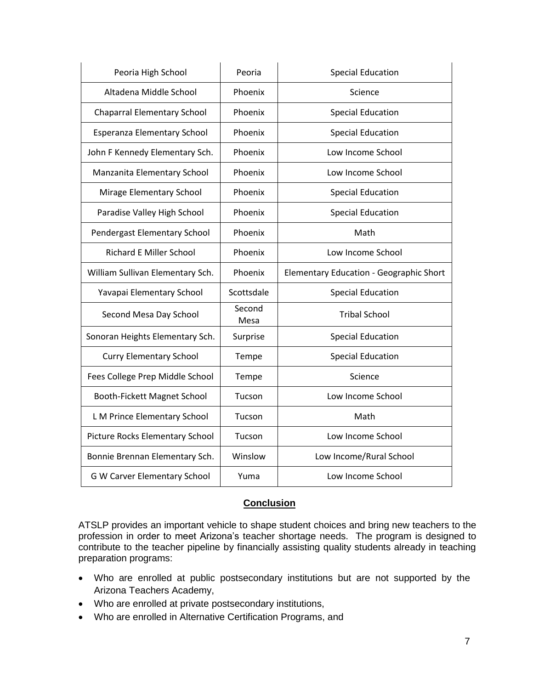| Peoria High School                 | Peoria         | <b>Special Education</b>                |
|------------------------------------|----------------|-----------------------------------------|
| Altadena Middle School             | Phoenix        | Science                                 |
| <b>Chaparral Elementary School</b> | Phoenix        | <b>Special Education</b>                |
| Esperanza Elementary School        | Phoenix        | <b>Special Education</b>                |
| John F Kennedy Elementary Sch.     | Phoenix        | Low Income School                       |
| Manzanita Elementary School        | Phoenix        | Low Income School                       |
| Mirage Elementary School           | Phoenix        | <b>Special Education</b>                |
| Paradise Valley High School        | Phoenix        | <b>Special Education</b>                |
| Pendergast Elementary School       | Phoenix        | Math                                    |
| <b>Richard E Miller School</b>     | Phoenix        | Low Income School                       |
| William Sullivan Elementary Sch.   | Phoenix        | Elementary Education - Geographic Short |
| Yavapai Elementary School          | Scottsdale     | <b>Special Education</b>                |
| Second Mesa Day School             | Second<br>Mesa | <b>Tribal School</b>                    |
| Sonoran Heights Elementary Sch.    | Surprise       | <b>Special Education</b>                |
| <b>Curry Elementary School</b>     | Tempe          | <b>Special Education</b>                |
| Fees College Prep Middle School    | Tempe          | Science                                 |
| Booth-Fickett Magnet School        | Tucson         | Low Income School                       |
| L M Prince Elementary School       | Tucson         | Math                                    |
| Picture Rocks Elementary School    | Tucson         | Low Income School                       |
| Bonnie Brennan Elementary Sch.     | Winslow        | Low Income/Rural School                 |
| G W Carver Elementary School       | Yuma           | Low Income School                       |

#### **Conclusion**

ATSLP provides an important vehicle to shape student choices and bring new teachers to the profession in order to meet Arizona's teacher shortage needs. The program is designed to contribute to the teacher pipeline by financially assisting quality students already in teaching preparation programs:

- Who are enrolled at public postsecondary institutions but are not supported by the Arizona Teachers Academy,
- Who are enrolled at private postsecondary institutions,
- Who are enrolled in Alternative Certification Programs, and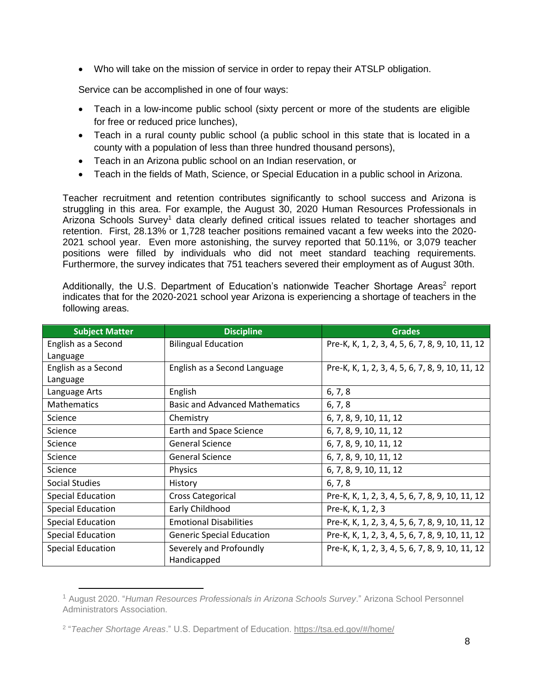Who will take on the mission of service in order to repay their ATSLP obligation.

Service can be accomplished in one of four ways:

- Teach in a low-income public school (sixty percent or more of the students are eligible for free or reduced price lunches),
- Teach in a rural county public school (a public school in this state that is located in a county with a population of less than three hundred thousand persons),
- Teach in an Arizona public school on an Indian reservation, or
- Teach in the fields of Math, Science, or Special Education in a public school in Arizona.

Teacher recruitment and retention contributes significantly to school success and Arizona is struggling in this area. For example, the August 30, 2020 Human Resources Professionals in Arizona Schools Survey<sup>1</sup> data clearly defined critical issues related to teacher shortages and retention. First, 28.13% or 1,728 teacher positions remained vacant a few weeks into the 2020- 2021 school year. Even more astonishing, the survey reported that 50.11%, or 3,079 teacher positions were filled by individuals who did not meet standard teaching requirements. Furthermore, the survey indicates that 751 teachers severed their employment as of August 30th.

Additionally, the U.S. Department of Education's nationwide Teacher Shortage Areas<sup>2</sup> report indicates that for the 2020-2021 school year Arizona is experiencing a shortage of teachers in the following areas.

| <b>Subject Matter</b>    | <b>Discipline</b>                     | <b>Grades</b>                                   |
|--------------------------|---------------------------------------|-------------------------------------------------|
| English as a Second      | <b>Bilingual Education</b>            | Pre-K, K, 1, 2, 3, 4, 5, 6, 7, 8, 9, 10, 11, 12 |
| Language                 |                                       |                                                 |
| English as a Second      | English as a Second Language          | Pre-K, K, 1, 2, 3, 4, 5, 6, 7, 8, 9, 10, 11, 12 |
| Language                 |                                       |                                                 |
| Language Arts            | English                               | 6, 7, 8                                         |
| <b>Mathematics</b>       | <b>Basic and Advanced Mathematics</b> | 6, 7, 8                                         |
| Science                  | Chemistry                             | 6, 7, 8, 9, 10, 11, 12                          |
| Science                  | Earth and Space Science               | 6, 7, 8, 9, 10, 11, 12                          |
| Science                  | <b>General Science</b>                | 6, 7, 8, 9, 10, 11, 12                          |
| Science                  | <b>General Science</b>                | 6, 7, 8, 9, 10, 11, 12                          |
| Science                  | <b>Physics</b>                        | 6, 7, 8, 9, 10, 11, 12                          |
| <b>Social Studies</b>    | History                               | 6, 7, 8                                         |
| <b>Special Education</b> | <b>Cross Categorical</b>              | Pre-K, K, 1, 2, 3, 4, 5, 6, 7, 8, 9, 10, 11, 12 |
| <b>Special Education</b> | Early Childhood                       | Pre-K, K, 1, 2, 3                               |
| <b>Special Education</b> | <b>Emotional Disabilities</b>         | Pre-K, K, 1, 2, 3, 4, 5, 6, 7, 8, 9, 10, 11, 12 |
| <b>Special Education</b> | <b>Generic Special Education</b>      | Pre-K, K, 1, 2, 3, 4, 5, 6, 7, 8, 9, 10, 11, 12 |
| <b>Special Education</b> | Severely and Profoundly               | Pre-K, K, 1, 2, 3, 4, 5, 6, 7, 8, 9, 10, 11, 12 |
|                          | Handicapped                           |                                                 |

<sup>1</sup> August 2020. "*Human Resources Professionals in Arizona Schools Survey*." Arizona School Personnel Administrators Association.

 $\overline{\phantom{a}}$ 

<sup>2</sup> "*Teacher Shortage Areas*." U.S. Department of Education.<https://tsa.ed.gov/#/home/>